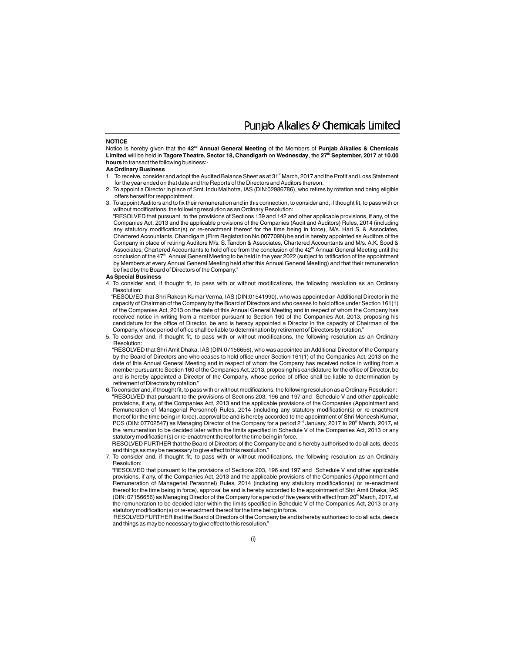Punjab Alkalies & Chemicals Limited

### **NOTICE**

Notice is hereby given that the 42<sup>nd</sup> Annual General Meeting of the Members of Punjab Alkalies & Chemicals **Limited** will be held in Tagore Theatre, Sector 18, Chandigarh on Wednesday, the 27<sup>th</sup> September, 2017 at 10.00 **hours** to transact the following business:-

### **As Ordinary Business**

- 1. To receive, consider and adopt the Audited Balance Sheet as at 31<sup>st</sup> March, 2017 and the Profit and Loss Statement for the year ended on that date and the Reports of the Directors and Auditors thereon.
- 2. To appoint a Director in place of Smt. Indu Malhotra, IAS (DIN:02986786), who retires by rotation and being eligible offers herself for reappointment.
- 3. To appoint Auditors and to fix their remuneration and in this connection, to consider and, if thought fit, to pass with or without modifications, the following resolution as an Ordinary Resolution:

"RESOLVED that pursuant to the provisions of Sections 139 and 142 and other applicable provisions, if any, of the Companies Act, 2013 and the applicable provisions of the Companies (Audit and Auditors) Rules, 2014 (including any statutory modification(s) or re-enactment thereof for the time being in force), M/s. Hari S. & Associates, Chartered Accountants, Chandigarh (Firm Registration No.007709N) be and is hereby appointed as Auditors of the Company in place of retiring Auditors M/s. S.Tandon & Associates, Chartered Accountants and M/s. A.K. Sood & Associates, Chartered Accountants to hold office from the conclusion of the 42<sup>nd</sup> Annual General Meeting until the conclusion of the  $47<sup>th</sup>$  Annual General Meeting to be held in the year 2022 (subject to ratification of the appointment by Members at every Annual General Meeting held after this Annual General Meeting) and that their remuneration be fixed by the Board of Directors of the Company."

### **As Special Business**

4. To consider and, if thought fit, to pass with or without modifications, the following resolution as an Ordinary Resolution:

"RESOLVED that Shri Rakesh Kumar Verma, IAS (DIN:01541990), who was appointed an Additional Director in the capacity of Chairman of the Company by the Board of Directors and who ceases to hold office under Section 161(1) of the Companies Act, 2013 on the date of this Annual General Meeting and in respect of whom the Company has received notice in writing from a member pursuant to Section 160 of the Companies Act, 2013, proposing his candidature for the office of Director, be and is hereby appointed a Director in the capacity of Chairman of the Company, whose period of office shall be liable to determination by retirement of Directors by rotation."

5. To consider and, if thought fit, to pass with or without modifications, the following resolution as an Ordinary Resolution:

"RESOLVED that Shri Amit Dhaka, IAS (DIN:07156656), who was appointed an Additional Director of the Company by the Board of Directors and who ceases to hold office under Section 161(1) of the Companies Act, 2013 on the date of this Annual General Meeting and in respect of whom the Company has received notice in writing from a member pursuant to Section 160 of the Companies Act, 2013, proposing his candidature for the office of Director, be and is hereby appointed a Director of the Company, whose period of office shall be liable to determination by retirement of Directors by rotation."

6.To consider and, if thought fit, to pass with or without modifications, the following resolution as a Ordinary Resolution: "RESOLVED that pursuant to the provisions of Sections 203, 196 and 197 and Schedule V and other applicable provisions, if any, of the Companies Act, 2013 and the applicable provisions of the Companies (Appointment and Remuneration of Managerial Personnel) Rules, 2014 (including any statutory modification(s) or re-enactment thereof for the time being in force), approval be and is hereby accorded to the appointment of Shri Moneesh Kumar, PCS (DIN: 07702547) as Managing Director of the Company for a period 2<sup>nd</sup> January, 2017 to 20<sup>th</sup> March, 2017, at the remuneration to be decided later within the limits specified in Schedule V of the Companies Act, 2013 or any statutory modification(s) or re-enactment thereof for the time being in force.

RESOLVED FURTHER that the Board of Directors of the Company be and is hereby authorised to do all acts, deeds and things as may be necessary to give effect to this resolution.

7. To consider and, if thought fit, to pass with or without modifications, the following resolution as an Ordinary Resolution:

"RESOLVED that pursuant to the provisions of Sections 203, 196 and 197 and Schedule V and other applicable provisions, if any, of the Companies Act, 2013 and the applicable provisions of the Companies (Appointment and Remuneration of Managerial Personnel) Rules, 2014 (including any statutory modification(s) or re-enactment thereof for the time being in force), approval be and is hereby accorded to the appointment of Shri Amit Dhaka, IAS (DIN: 07156656) as Managing Director of the Company for a period of five years with effect from 20<sup>th</sup> March, 2017, at the remuneration to be decided later within the limits specified in Schedule V of the Companies Act, 2013 or any statutory modification(s) or re-enactment thereof for the time being in force.

 RESOLVED FURTHER that the Board of Directors of the Company be and is hereby authorised to do all acts, deeds and things as may be necessary to give effect to this resolution.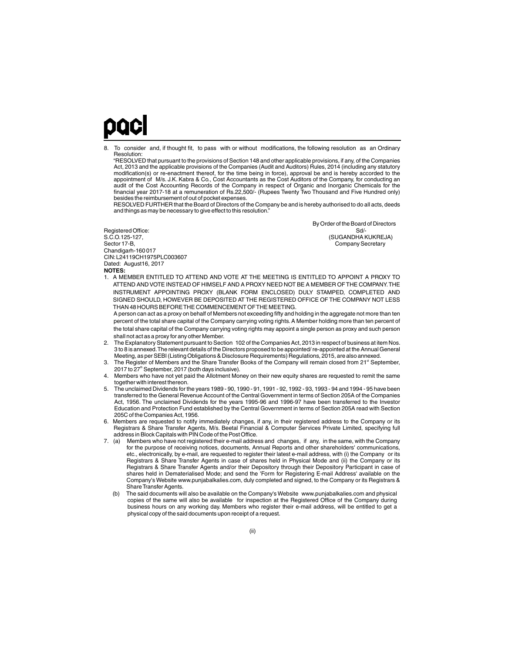## paci

8. To consider and, if thought fit, to pass with or without modifications, the following resolution as an Ordinary Resolution:

"RESOLVED that pursuant to the provisions of Section 148 and other applicable provisions, if any, of the Companies Act, 2013 and the applicable provisions of the Companies (Audit and Auditors) Rules, 2014 (including any statutory modification(s) or re-enactment thereof, for the time being in force), approval be and is hereby accorded to the appointment of M/s. J.K. Kabra & Co., Cost Accountants as the Cost Auditors of the Company, for conducting an audit of the Cost Accounting Records of the Company in respect of Organic and Inorganic Chemicals for the financial year 2017-18 at a remuneration of Rs.22,500/- (Rupees Twenty Two Thousand and Five Hundred only) besides the reimbursement of out of pocket expenses.

RESOLVED FURTHER that the Board of Directors of the Company be and is hereby authorised to do all acts, deeds and things as may be necessary to give effect to this resolution.

CIN:L24119CH1975PLC003607 Dated: August16, 2017 Registered Office: S.C.O.125-127,<br>Sector 17-B, Chandigarh-160 017

(SUGANDHA KUKREJA) By Order of the Board of Directors Company Secretary

**NOTES:**

1. A MEMBER ENTITLED TO ATTEND AND VOTE AT THE MEETING IS ENTITLED TO APPOINT A PROXY TO ATTEND AND VOTE INSTEAD OF HIMSELF AND A PROXY NEED NOT BE A MEMBER OF THE COMPANY.THE INSTRUMENT APPOINTING PROXY (BLANK FORM ENCLOSED) DULY STAMPED, COMPLETED AND SIGNED SHOULD, HOWEVER BE DEPOSITED AT THE REGISTERED OFFICE OF THE COMPANY NOT LESS THAN 48 HOURS BEFORE THE COMMENCEMENT OF THE MEETING.

A person can act as a proxy on behalf of Members not exceeding fifty and holding in the aggregate not more than ten percent of the total share capital of the Company carrying voting rights.A Member holding more than ten percent of the total share capital of the Company carrying voting rights may appoint a single person as proxy and such person shall not act as a proxy for any other Member.

- 2. The Explanatory Statement pursuant to Section 102 of the Companies Act, 2013 in respect of business at item Nos. 3 to 8 is annexed.The relevant details of the Directors proposed to be appointed/ re-appointed at the Annual General Meeting, as per SEBI (Listing Obligations & Disclosure Requirements) Regulations, 2015, are also annexed.
- 3. The Register of Members and the Share Transfer Books of the Company will remain closed from 21<sup>st</sup> September,  $2017$  to  $27<sup>th</sup>$  September, 2017 (both days inclusive).
- Members who have not yet paid the Allotment Money on their new equity shares are requested to remit the same together with interest thereon.
- 5. The unclaimed Dividends for the years 1989 90, 1990 91, 1991 92, 1992 93, 1993 94 and 1994 95 have been transferred to the General Revenue Account of the Central Government in terms of Section 205A of the Companies Act, 1956. The unclaimed Dividends for the years 1995-96 and 1996-97 have been transferred to the Investor Education and Protection Fund established by the Central Government in terms of Section 205A read with Section 205C of the Companies Act, 1956.
- 6. Members are requested to notify immediately changes, if any, in their registered address to the Company or its Registrars & Share Transfer Agents, M/s. Beetal Financial & Computer Services Private Limited, specifying full address in Block Capitals with PIN Code of the Post Office.<br>7. (a) Members who have not registered their e-mail addre
- Members who have not registered their e-mail address and changes, if any, in the same, with the Company for the purpose of receiving notices, documents, Annual Reports and other shareholders' communications, etc., electronically, by e-mail, are requested to register their latest e-mail address, with (i) the Company or its Registrars & Share Transfer Agents in case of shares held in Physical Mode and (ii) the Company or its Registrars & Share Transfer Agents and/or their Depository through their Depository Participant in case of shares held in Dematerialised Mode; and send the 'Form for Registering E-mail Address' available on the Company's Website www.punjabalkalies.com, duly completed and signed, to the Company or its Registrars & Share Transfer Agents.
	- (b) The said documents will also be available on the Company's Website www.punjabalkalies.com and physical copies of the same will also be available for inspection at the Registered Office of the Company during business hours on any working day. Members who register their e-mail address, will be entitled to get a physical copy of the said documents upon receipt of a request.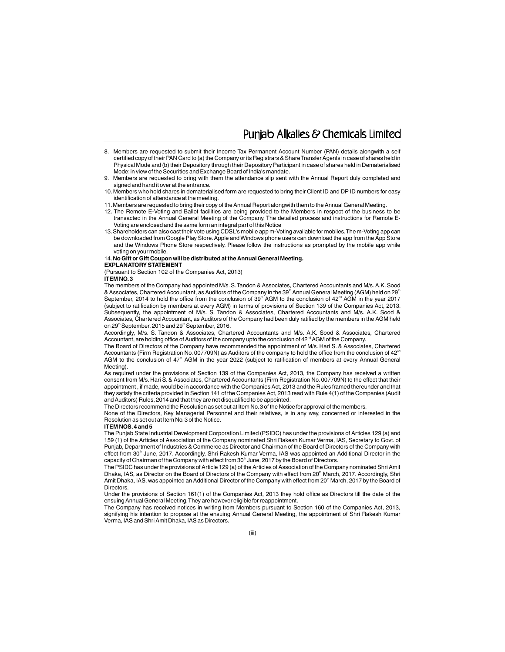### Puniab Alkalies & Chemicals Limited

- 8. Members are requested to submit their Income Tax Permanent Account Number (PAN) details alongwith a self certified copy of their PAN Card to (a) the Company or its Registrars & Share Transfer Agents in case of shares held in Physical Mode and (b) their Depository through their Depository Participant in case of shares held in Dematerialised Mode;in view of the Securities and Exchange Board of India's mandate.
- 9. Members are requested to bring with them the attendance slip sent with the Annual Report duly completed and signed and hand it over at the entrance.
- 10. Members who hold shares in dematerialised form are requested to bring their Client ID and DP ID numbers for easy identification of attendance at the meeting.
- 11.Members are requested to bring their copy of the Annual Report alongwith them to the Annual General Meeting.
- 12. The Remote E-Voting and Ballot facilities are being provided to the Members in respect of the business to be transacted in the Annual General Meeting of the Company. The detailed process and instructions for Remote E-Voting are enclosed and the same form an integral part of this Notice
- 13.Shareholders can also cast their vote using CDSL's mobile app m-Voting available for mobiles.The m-Voting app can be downloaded from Google Play Store. Apple and Windows phone users can download the app from the App Store and the Windows Phone Store respectively. Please follow the instructions as prompted by the mobile app while voting on your mobile.

### 14.**No Gift or Gift Coupon will be distributed at the Annual General Meeting.**

### **EXPLANATORY STATEMENT**

(Pursuant to Section 102 of the Companies Act, 2013)

### **ITEM NO.3**

The members of the Company had appointed M/s.S.Tandon & Associates, Chartered Accountants and M/s.A.K.Sood & Associates, Chartered Accountant, as Auditors of the Company in the 39<sup>th</sup> Annual General Meeting (AGM) held on 29<sup>th</sup> September, 2014 to hold the office from the conclusion of 39<sup>th</sup> AGM to the conclusion of  $42<sup>nd</sup>$  AGM in the year 2017 (subject to ratification by members at every AGM) in terms of provisions of Section 139 of the Companies Act, 2013. Subsequently, the appointment of M/s. S. Tandon & Associates, Chartered Accountants and M/s. A.K. Sood & Associates, Chartered Accountant, as Auditors of the Company had been duly ratified by the members in the AGM held on 29<sup>th</sup> September, 2015 and 29<sup>th</sup> September, 2016.

Accordingly, M/s. S. Tandon & Associates, Chartered Accountants and M/s. A.K. Sood & Associates, Chartered Accountant, are holding office of Auditors of the company upto the conclusion of 42<sup>nd</sup> AGM of the Company.

The Board of Directors of the Company have recommended the appointment of M/s. Hari S. & Associates, Chartered Accountants (Firm Registration No. 007709N) as Auditors of the company to hold the office from the conclusion of  $42^{\circ}$ AGM to the conclusion of 47<sup>th</sup> AGM in the year 2022 (subject to ratification of members at every Annual General Meeting).

As required under the provisions of Section 139 of the Companies Act, 2013, the Company has received a written consent from M/s. Hari S.& Associates, Chartered Accountants (Firm Registration No. 007709N) to the effect that their appointment , if made, would be in accordance with the Companies Act, 2013 and the Rules framed thereunder and that they satisfy the criteria provided in Section 141 of the Companies Act, 2013 read with Rule 4(1) of the Companies (Audit and Auditors) Rules, 2014 and that they are not disqualified to be appointed.

The Directors recommend the Resolution as set out at Item No.3 of the Notice for approval of the members.

None of the Directors, Key Managerial Personnel and their relatives, is in any way, concerned or interested in the Resolution as set out at Item No.3 of the Notice.

### **ITEM NOS.4 and 5**

The Punjab State Industrial Development Corporation Limited (PSIDC) has under the provisions of Articles 129 (a) and 159 (1) of the Articles of Association of the Company nominated Shri Rakesh Kumar Verma, IAS, Secretary to Govt. of Punjab, Department of Industries & Commerce as Director and Chairman of the Board of Directors of the Company with effect from 30<sup>th</sup> June, 2017. Accordingly, Shri Rakesh Kumar Verma, IAS was appointed an Additional Director in the capacity of Chairman of the Company with effect from 30<sup>th</sup> June, 2017 by the Board of Directors.

The PSIDC has under the provisions of Article 129 (a) of the Articles of Association of the Company nominated Shri Amit Dhaka, IAS, as Director on the Board of Directors of the Company with effect from 20<sup>th</sup> March, 2017. Accordingly, Shri Amit Dhaka, IAS, was appointed an Additional Director of the Company with effect from 20<sup>th</sup> March, 2017 by the Board of **Directors** 

Under the provisions of Section 161(1) of the Companies Act, 2013 they hold office as Directors till the date of the ensuing Annual General Meeting.They are however eligible for reappointment.

The Company has received notices in writing from Members pursuant to Section 160 of the Companies Act, 2013, signifying his intention to propose at the ensuing Annual General Meeting, the appointment of Shri Rakesh Kumar Verma, IAS and Shri Amit Dhaka, IAS as Directors.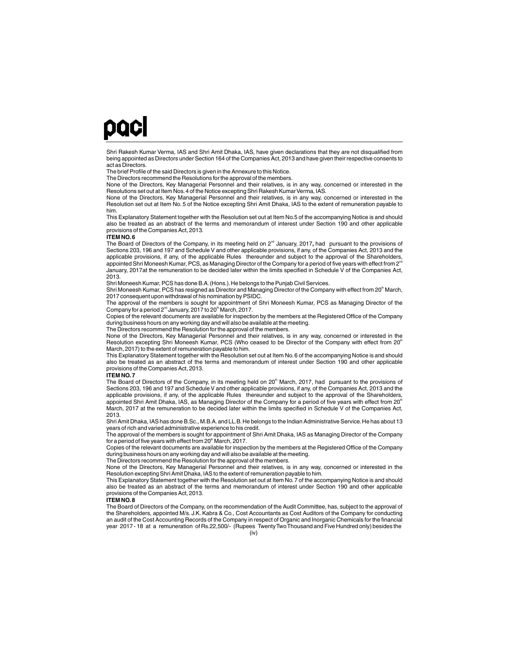## paci

Shri Rakesh Kumar Verma, IAS and Shri Amit Dhaka, IAS, have given declarations that they are not disqualified from being appointed as Directors under Section 164 of the Companies Act, 2013 and have given their respective consents to act as Directors.

The brief Profile of the said Directors is given in the Annexure to this Notice.

The Directors recommend the Resolutions for the approval of the members.

None of the Directors, Key Managerial Personnel and their relatives, is in any way, concerned or interested in the Resolutions set out at Item Nos.4 of the Notice excepting Shri Rakesh Kumar Verma, IAS.

None of the Directors, Key Managerial Personnel and their relatives, is in any way, concerned or interested in the Resolution set out at Item No. 5 of the Notice excepting Shri Amit Dhaka, IAS to the extent of remuneration payable to him.

This Explanatory Statement together with the Resolution set out at Item No.5 of the accompanying Notice is and should also be treated as an abstract of the terms and memorandum of interest under Section 190 and other applicable provisions of the Companies Act, 2013.

### **ITEM NO.6**

The Board of Directors of the Company, in its meeting held on 2<sup>nd</sup> January, 2017, had pursuant to the provisions of Sections 203, 196 and 197 and Schedule V and other applicable provisions, if any, of the Companies Act, 2013 and the<br>applicable provisions, if any, of the applicable Rules ±thereunder and subject to the approval of the Sha appointed Shri Moneesh Kumar, PCS, as Managing Director of the Company for a period of five years with effect from 2nd January, 2017at the remuneration to be decided later within the limits specified in Schedule V of the Companies Act, 2013.

Shri Moneesh Kumar, PCS has done B.A.(Hons.).He belongs to the Punjab Civil Services.

Shri Moneesh Kumar, PCS has resigned as Director and Managing Director of the Company with effect from 20<sup>th</sup> March, 2017 consequent upon withdrawal of his nomination by PSIDC.

The approval of the members is sought for appointment of Shri Moneesh Kumar, PCS as Managing Director of the Company for a period  $2^{nd}$  January, 2017 to 20 $<sup>th</sup>$  March, 2017.</sup>

Copies of the relevant documents are available for inspection by the members at the Registered Office of the Company during business hours on any working day and will also be available at the meeting.

The Directors recommend the Resolution for the approval of the members.

None of the Directors, Key Managerial Personnel and their relatives, is in any way, concerned or interested in the Resolution excepting Shri Moneesh Kumar, PCS (Who ceased to be Director of the Company with effect from 20<sup>th</sup> March, 2017) to the extent of remuneration payable to him.

This Explanatory Statement together with the Resolution set out at Item No.6 of the accompanying Notice is and should also be treated as an abstract of the terms and memorandum of interest under Section 190 and other applicable provisions of the Companies Act, 2013.

### **ITEM NO.7**

The Board of Directors of the Company, in its meeting held on  $20<sup>th</sup>$  March, 2017, had pursuant to the provisions of Sections 203, 196 and 197 and Schedule V and other applicable provisions, if any, of the Companies Act, 2013 and the<br>applicable provisions, if any, of the applicable Rules \_thereunder and subject to the approval of the Sha appointed Shri Amit Dhaka, IAS, as Managing Director of the Company for a period of five years with effect from 20<sup>th</sup> March, 2017 at the remuneration to be decided later within the limits specified in Schedule V of the Companies Act, 2013.

Shri Amit Dhaka, IAS has done B.Sc., M.B.A.and LL.B.He belongs to the Indian Administrative Service.He has about 13 years of rich and varied administrative experience to his credit.

The approval of the members is sought for appointment of Shri Amit Dhaka, IAS as Managing Director of the Company for a period of five years with effect from 20<sup>th</sup> March, 2017.

Copies of the relevant documents are available for inspection by the members at the Registered Office of the Company during business hours on any working day and will also be available at the meeting.

The Directors recommend the Resolution for the approval of the members.

None of the Directors, Key Managerial Personnel and their relatives, is in any way, concerned or interested in the Resolution excepting Shri Amit Dhaka, IAS to the extent of remuneration payable to him.

This Explanatory Statement together with the Resolution set out at Item No. 7 of the accompanying Notice is and should also be treated as an abstract of the terms and memorandum of interest under Section 190 and other applicable provisions of the Companies Act, 2013.

#### **ITEM NO.8**

(iv) The Board of Directors of the Company, on the recommendation of the Audit Committee, has, subject to the approval of the Shareholders, appointed M/s. J.K. Kabra & Co., Cost Accountants as Cost Auditors of the Company for conducting an audit of the Cost Accounting Records of the Company in respect of Organic and Inorganic Chemicals for the financial year 2017 - 18 at a remuneration of Rs.22,500/- (Rupees Twenty Two Thousand and Five Hundred only) besides the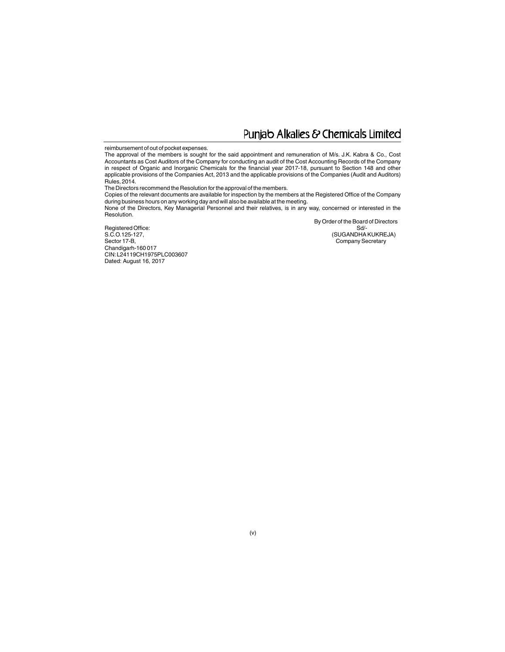### Punjab Alkalies & Chemicals Limited

### reimbursement of out of pocket expenses.

The approval of the members is sought for the said appointment and remuneration of M/s. J.K. Kabra & Co., Cost Accountants as Cost Auditors of the Company for conducting an audit of the Cost Accounting Records of the Company in respect of Organic and Inorganic Chemicals for the financial year 2017-18, pursuant to Section 148 and other applicable provisions of the Companies Act, 2013 and the applicable provisions of the Companies (Audit and Auditors) Rules, 2014.

The Directors recommend the Resolution for the approval of the members.

Copies of the relevant documents are available for inspection by the members at the Registered Office of the Company during business hours on any working day and will also be available at the meeting.

None of the Directors, Key Managerial Personnel and their relatives, is in any way, concerned or interested in the Resolution.

By Order of the Board of Directors

CIN:L24119CH1975PLC003607 Dated: August 16, 2017 Registered Office: Sd/-S.C.O.125-127, Sector 17-B, Company Secretary Chandigarh-160 017

SUGANDHA KUKREJA)<br>Sd/-<br>(SUGANDHA KUKREJA)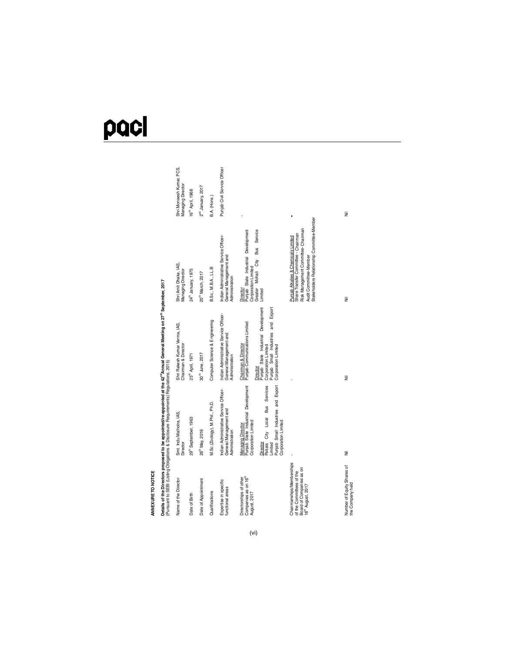# pacl

| = |   |  |
|---|---|--|
|   |   |  |
|   |   |  |
|   |   |  |
|   |   |  |
|   | ٠ |  |

ANNEXURE TO NOTICE<br>Details of the Directors proposed to be appointed/re-appointed at the 42‴Annual General Meeting on 27<sup>™</sup> September, 2017<br>(Pursuant to SEBI (Listing Obligations & Disclosure Requirements) Regulations, 20 Details of the Directors proposed to be appointed/re-appointed at the 42<sup>mg</sup> Annual General Meeting on 27<sup>th</sup> September, 2017 (Pursuant to SEBI (Listing Obligations & Disclosure Requirements) Regulations, 2015)

| Name of the Director                                                                                              | Smt. Indu Malhotra, IAS,<br>Director                                                                                                                                                                                | Shri Rakesh Kumar Verma, IAS,<br>Chairman & Director                                                                                                                                        | Shri Amit Dhaka, IAS,<br>Managing Director                                                                                                                                               | Shri Moneesh Kumar, PCS,<br>Managing Director |
|-------------------------------------------------------------------------------------------------------------------|---------------------------------------------------------------------------------------------------------------------------------------------------------------------------------------------------------------------|---------------------------------------------------------------------------------------------------------------------------------------------------------------------------------------------|------------------------------------------------------------------------------------------------------------------------------------------------------------------------------------------|-----------------------------------------------|
| Date of Birth                                                                                                     | 29 <sup>th</sup> September, 1963                                                                                                                                                                                    | 25 <sup>th</sup> April, 1971                                                                                                                                                                | 24th January, 1975                                                                                                                                                                       | 16 <sup>th</sup> April, 1968                  |
| Date of Appointment                                                                                               | 26 <sup>th</sup> May, 2016                                                                                                                                                                                          | 30 <sup>th</sup> June, 2017                                                                                                                                                                 | 20 <sup>th</sup> March, 2017                                                                                                                                                             | $2^{nd}$ January, $2017$                      |
| Qualifications                                                                                                    | M.Sc.(Zoology), M.Phil., Ph.D.                                                                                                                                                                                      | Computer Science & Engineering                                                                                                                                                              | B.Sc., M.B.A., LL.B                                                                                                                                                                      | B.A. (Hons.)                                  |
| Expertise in specific<br>functional areas                                                                         | Indian Administrative Service Officer-<br>General Management and<br>Administration                                                                                                                                  | Indian Administrative Service Officer-<br>General Management and<br>Administration                                                                                                          | Indian Administrative Service Officer-<br>General Management and<br>Administration                                                                                                       | Punjab Civil Service Officer                  |
| Companies as on 16 <sup>th</sup><br>Directorships of other<br>August, 2017                                        | Punjab State Industrial Development<br>Patiala City Local Bus Services<br>Punjab Small Industries and Export<br>Corporation Limited<br>Corporation Limited<br><b>Managing Director</b><br>Director<br><i>imited</i> | Punjab State Industrial Development<br>Corporation Limited<br>Punjab Small Industries and Export<br>Punjab Communications Limited<br>Chairman & Director<br>Corporation Limited<br>Director | Mohali City Bus Service<br>Punjab State Industrial Development<br>Corporation Limited<br>Greater<br>Director<br>Limited                                                                  |                                               |
| Chairmanships/Memberships<br>Board of Companies as on<br>of the Committees of the<br>16 <sup>m</sup> August, 2017 |                                                                                                                                                                                                                     |                                                                                                                                                                                             | Stakeholders Relationship Committee-Member<br>Risk Management Committee-Chairman<br>Share Transfer Committee - Chairman<br>Punjab Alkalies & Chemicals Limited<br>Audit Committee-Member |                                               |
| Number of Equity Shares of<br>the Company held                                                                    | Ξ                                                                                                                                                                                                                   | Ξ                                                                                                                                                                                           | Ξ                                                                                                                                                                                        | Ξ                                             |